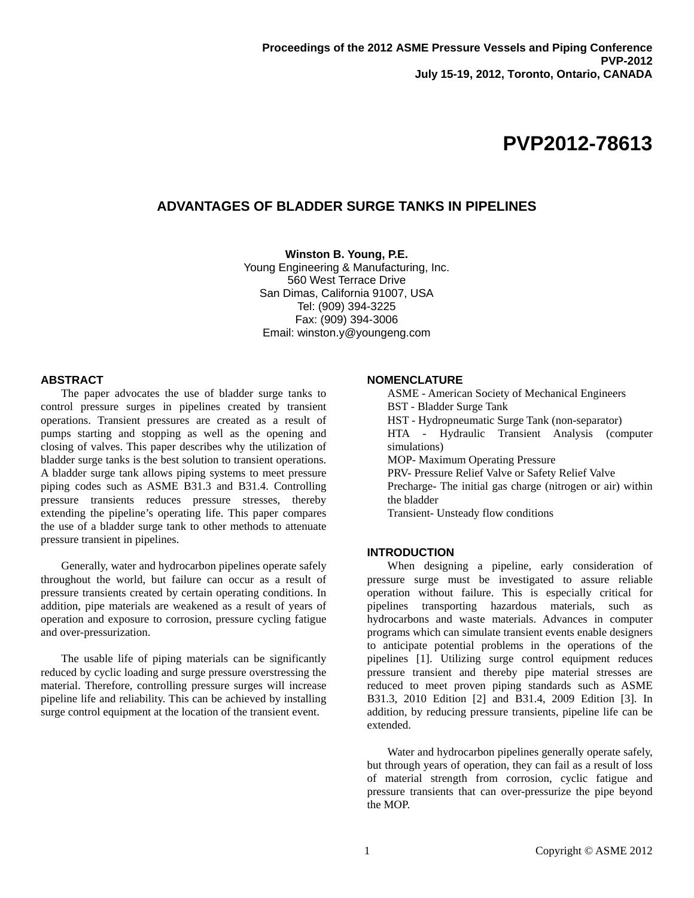# **PVP2012-78613**

# **ADVANTAGES OF BLADDER SURGE TANKS IN PIPELINES**

**Winston B. Young, P.E.**  Young Engineering & Manufacturing, Inc. 560 West Terrace Drive San Dimas, California 91007, USA Tel: (909) 394-3225 Fax: (909) 394-3006 Email: winston.y@youngeng.com

## **ABSTRACT**

The paper advocates the use of bladder surge tanks to control pressure surges in pipelines created by transient operations. Transient pressures are created as a result of pumps starting and stopping as well as the opening and closing of valves. This paper describes why the utilization of bladder surge tanks is the best solution to transient operations. A bladder surge tank allows piping systems to meet pressure piping codes such as ASME B31.3 and B31.4. Controlling pressure transients reduces pressure stresses, thereby extending the pipeline's operating life. This paper compares the use of a bladder surge tank to other methods to attenuate pressure transient in pipelines.

Generally, water and hydrocarbon pipelines operate safely throughout the world, but failure can occur as a result of pressure transients created by certain operating conditions. In addition, pipe materials are weakened as a result of years of operation and exposure to corrosion, pressure cycling fatigue and over-pressurization.

The usable life of piping materials can be significantly reduced by cyclic loading and surge pressure overstressing the material. Therefore, controlling pressure surges will increase pipeline life and reliability. This can be achieved by installing surge control equipment at the location of the transient event.

#### **NOMENCLATURE**

 ASME - American Society of Mechanical Engineers BST - Bladder Surge Tank HST - Hydropneumatic Surge Tank (non-separator) HTA - Hydraulic Transient Analysis (computer simulations) MOP- Maximum Operating Pressure PRV- Pressure Relief Valve or Safety Relief Valve Precharge- The initial gas charge (nitrogen or air) within the bladder Transient- Unsteady flow conditions

## **INTRODUCTION**

 When designing a pipeline, early consideration of pressure surge must be investigated to assure reliable operation without failure. This is especially critical for pipelines transporting hazardous materials, such as hydrocarbons and waste materials. Advances in computer programs which can simulate transient events enable designers to anticipate potential problems in the operations of the pipelines [1]. Utilizing surge control equipment reduces pressure transient and thereby pipe material stresses are reduced to meet proven piping standards such as ASME B31.3, 2010 Edition [2] and B31.4, 2009 Edition [3]. In addition, by reducing pressure transients, pipeline life can be extended.

Water and hydrocarbon pipelines generally operate safely, but through years of operation, they can fail as a result of loss of material strength from corrosion, cyclic fatigue and pressure transients that can over-pressurize the pipe beyond the MOP.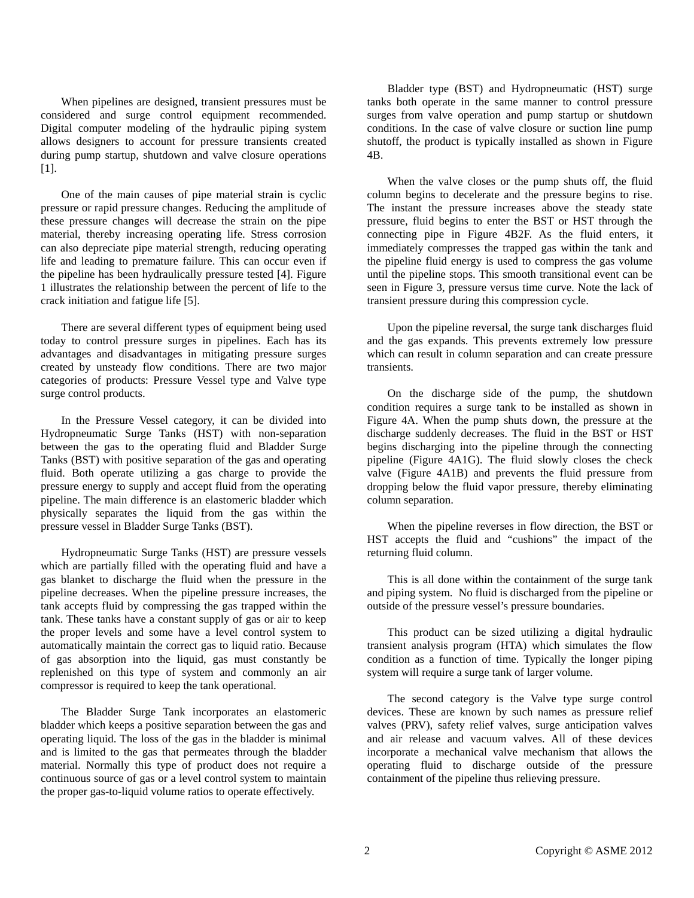When pipelines are designed, transient pressures must be considered and surge control equipment recommended. Digital computer modeling of the hydraulic piping system allows designers to account for pressure transients created during pump startup, shutdown and valve closure operations [1].

One of the main causes of pipe material strain is cyclic pressure or rapid pressure changes. Reducing the amplitude of these pressure changes will decrease the strain on the pipe material, thereby increasing operating life. Stress corrosion can also depreciate pipe material strength, reducing operating life and leading to premature failure. This can occur even if the pipeline has been hydraulically pressure tested [4]. Figure 1 illustrates the relationship between the percent of life to the crack initiation and fatigue life [5].

There are several different types of equipment being used today to control pressure surges in pipelines. Each has its advantages and disadvantages in mitigating pressure surges created by unsteady flow conditions. There are two major categories of products: Pressure Vessel type and Valve type surge control products.

In the Pressure Vessel category, it can be divided into Hydropneumatic Surge Tanks (HST) with non-separation between the gas to the operating fluid and Bladder Surge Tanks (BST) with positive separation of the gas and operating fluid. Both operate utilizing a gas charge to provide the pressure energy to supply and accept fluid from the operating pipeline. The main difference is an elastomeric bladder which physically separates the liquid from the gas within the pressure vessel in Bladder Surge Tanks (BST).

Hydropneumatic Surge Tanks (HST) are pressure vessels which are partially filled with the operating fluid and have a gas blanket to discharge the fluid when the pressure in the pipeline decreases. When the pipeline pressure increases, the tank accepts fluid by compressing the gas trapped within the tank. These tanks have a constant supply of gas or air to keep the proper levels and some have a level control system to automatically maintain the correct gas to liquid ratio. Because of gas absorption into the liquid, gas must constantly be replenished on this type of system and commonly an air compressor is required to keep the tank operational.

The Bladder Surge Tank incorporates an elastomeric bladder which keeps a positive separation between the gas and operating liquid. The loss of the gas in the bladder is minimal and is limited to the gas that permeates through the bladder material. Normally this type of product does not require a continuous source of gas or a level control system to maintain the proper gas-to-liquid volume ratios to operate effectively.

Bladder type (BST) and Hydropneumatic (HST) surge tanks both operate in the same manner to control pressure surges from valve operation and pump startup or shutdown conditions. In the case of valve closure or suction line pump shutoff, the product is typically installed as shown in Figure 4B.

When the valve closes or the pump shuts off, the fluid column begins to decelerate and the pressure begins to rise. The instant the pressure increases above the steady state pressure, fluid begins to enter the BST or HST through the connecting pipe in Figure 4B2F. As the fluid enters, it immediately compresses the trapped gas within the tank and the pipeline fluid energy is used to compress the gas volume until the pipeline stops. This smooth transitional event can be seen in Figure 3, pressure versus time curve. Note the lack of transient pressure during this compression cycle.

Upon the pipeline reversal, the surge tank discharges fluid and the gas expands. This prevents extremely low pressure which can result in column separation and can create pressure transients.

On the discharge side of the pump, the shutdown condition requires a surge tank to be installed as shown in Figure 4A. When the pump shuts down, the pressure at the discharge suddenly decreases. The fluid in the BST or HST begins discharging into the pipeline through the connecting pipeline (Figure 4A1G). The fluid slowly closes the check valve (Figure 4A1B) and prevents the fluid pressure from dropping below the fluid vapor pressure, thereby eliminating column separation.

When the pipeline reverses in flow direction, the BST or HST accepts the fluid and "cushions" the impact of the returning fluid column.

This is all done within the containment of the surge tank and piping system. No fluid is discharged from the pipeline or outside of the pressure vessel's pressure boundaries.

This product can be sized utilizing a digital hydraulic transient analysis program (HTA) which simulates the flow condition as a function of time. Typically the longer piping system will require a surge tank of larger volume.

The second category is the Valve type surge control devices. These are known by such names as pressure relief valves (PRV), safety relief valves, surge anticipation valves and air release and vacuum valves. All of these devices incorporate a mechanical valve mechanism that allows the operating fluid to discharge outside of the pressure containment of the pipeline thus relieving pressure.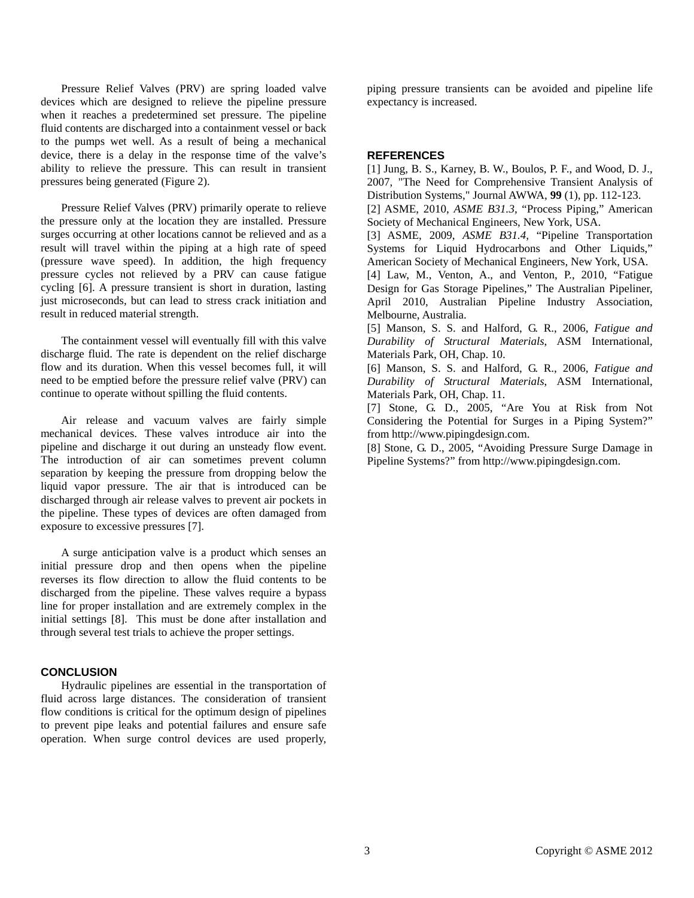Pressure Relief Valves (PRV) are spring loaded valve devices which are designed to relieve the pipeline pressure when it reaches a predetermined set pressure. The pipeline fluid contents are discharged into a containment vessel or back to the pumps wet well. As a result of being a mechanical device, there is a delay in the response time of the valve's ability to relieve the pressure. This can result in transient pressures being generated (Figure 2).

Pressure Relief Valves (PRV) primarily operate to relieve the pressure only at the location they are installed. Pressure surges occurring at other locations cannot be relieved and as a result will travel within the piping at a high rate of speed (pressure wave speed). In addition, the high frequency pressure cycles not relieved by a PRV can cause fatigue cycling [6]. A pressure transient is short in duration, lasting just microseconds, but can lead to stress crack initiation and result in reduced material strength.

The containment vessel will eventually fill with this valve discharge fluid. The rate is dependent on the relief discharge flow and its duration. When this vessel becomes full, it will need to be emptied before the pressure relief valve (PRV) can continue to operate without spilling the fluid contents.

Air release and vacuum valves are fairly simple mechanical devices. These valves introduce air into the pipeline and discharge it out during an unsteady flow event. The introduction of air can sometimes prevent column separation by keeping the pressure from dropping below the liquid vapor pressure. The air that is introduced can be discharged through air release valves to prevent air pockets in the pipeline. These types of devices are often damaged from exposure to excessive pressures [7].

A surge anticipation valve is a product which senses an initial pressure drop and then opens when the pipeline reverses its flow direction to allow the fluid contents to be discharged from the pipeline. These valves require a bypass line for proper installation and are extremely complex in the initial settings [8]. This must be done after installation and through several test trials to achieve the proper settings.

# **CONCLUSION**

Hydraulic pipelines are essential in the transportation of fluid across large distances. The consideration of transient flow conditions is critical for the optimum design of pipelines to prevent pipe leaks and potential failures and ensure safe operation. When surge control devices are used properly,

piping pressure transients can be avoided and pipeline life expectancy is increased.

# **REFERENCES**

[1] Jung, B. S., Karney, B. W., Boulos, P. F., and Wood, D. J., 2007, "The Need for Comprehensive Transient Analysis of Distribution Systems," Journal AWWA, **99** (1), pp. 112-123.

[2] ASME, 2010, *ASME B31.3,* "Process Piping," American Society of Mechanical Engineers, New York, USA.

[3] ASME, 2009, *ASME B31.4,* "Pipeline Transportation Systems for Liquid Hydrocarbons and Other Liquids," American Society of Mechanical Engineers, New York, USA.

[4] Law, M., Venton, A., and Venton, P., 2010, "Fatigue Design for Gas Storage Pipelines," The Australian Pipeliner, April 2010, Australian Pipeline Industry Association, Melbourne, Australia.

[5] Manson, S. S. and Halford, G. R., 2006, *Fatigue and Durability of Structural Materials*, ASM International, Materials Park, OH, Chap. 10.

[6] Manson, S. S. and Halford, G. R., 2006, *Fatigue and Durability of Structural Materials*, ASM International, Materials Park, OH, Chap. 11.

[7] Stone, G. D., 2005, "Are You at Risk from Not Considering the Potential for Surges in a Piping System?" from http://www.pipingdesign.com.

[8] Stone, G. D., 2005, "Avoiding Pressure Surge Damage in Pipeline Systems?" from http://www.pipingdesign.com.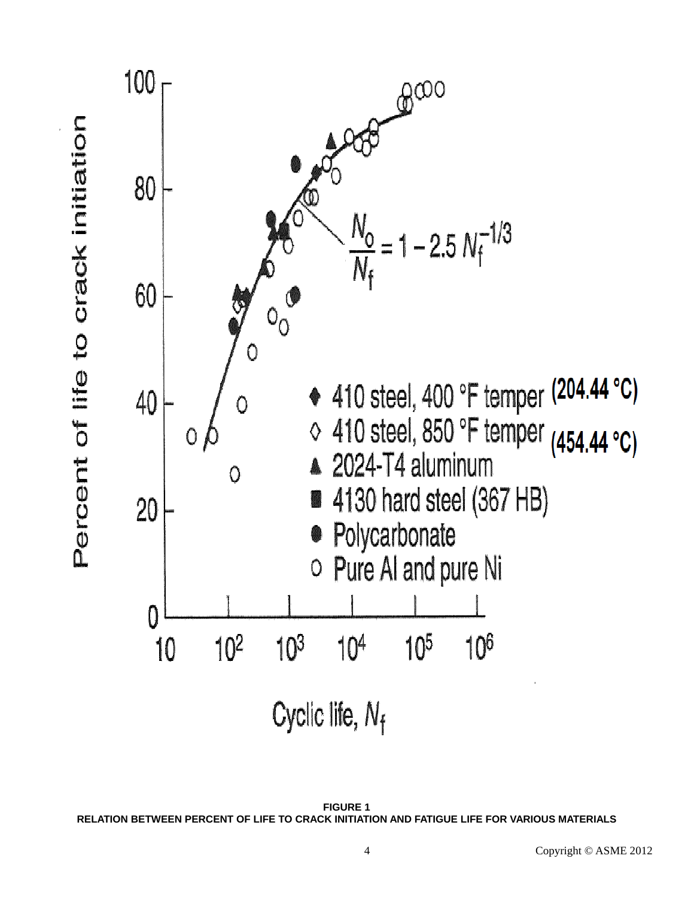

**FIGURE 1 RELATION BETWEEN PERCENT OF LIFE TO CRACK INITIATION AND FATIGUE LIFE FOR VARIOUS MATERIALS**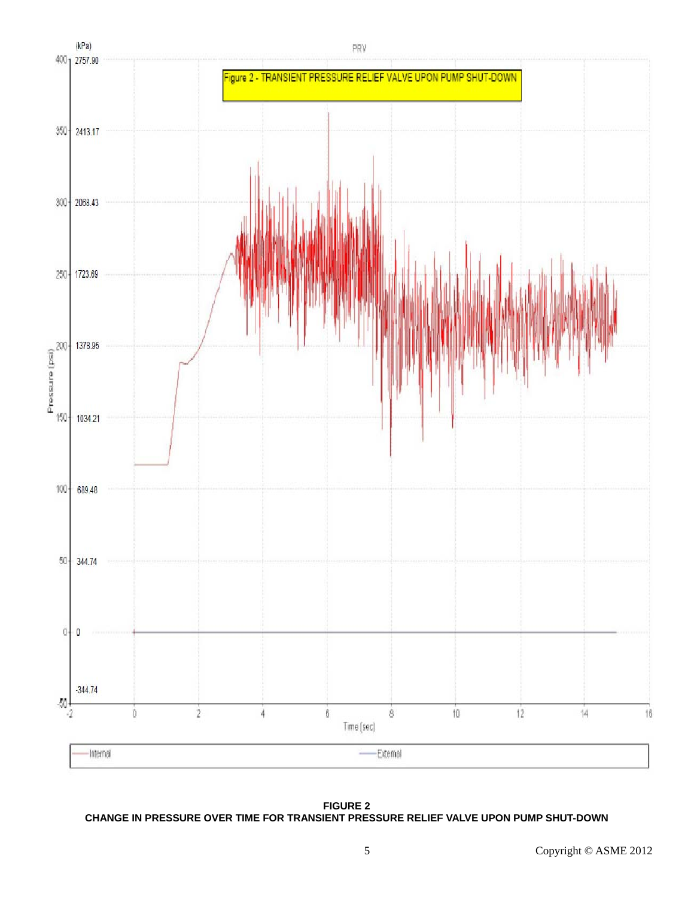

**FIGURE 2 CHANGE IN PRESSURE OVER TIME FOR TRANSIENT PRESSURE RELIEF VALVE UPON PUMP SHUT-DOWN**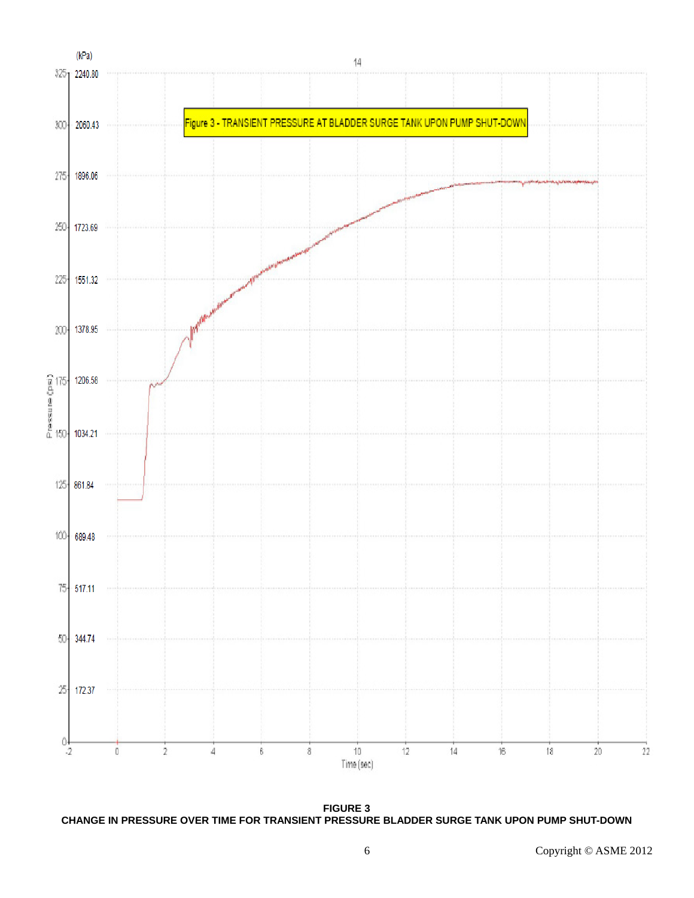

**FIGURE 3 CHANGE IN PRESSURE OVER TIME FOR TRANSIENT PRESSURE BLADDER SURGE TANK UPON PUMP SHUT-DOWN**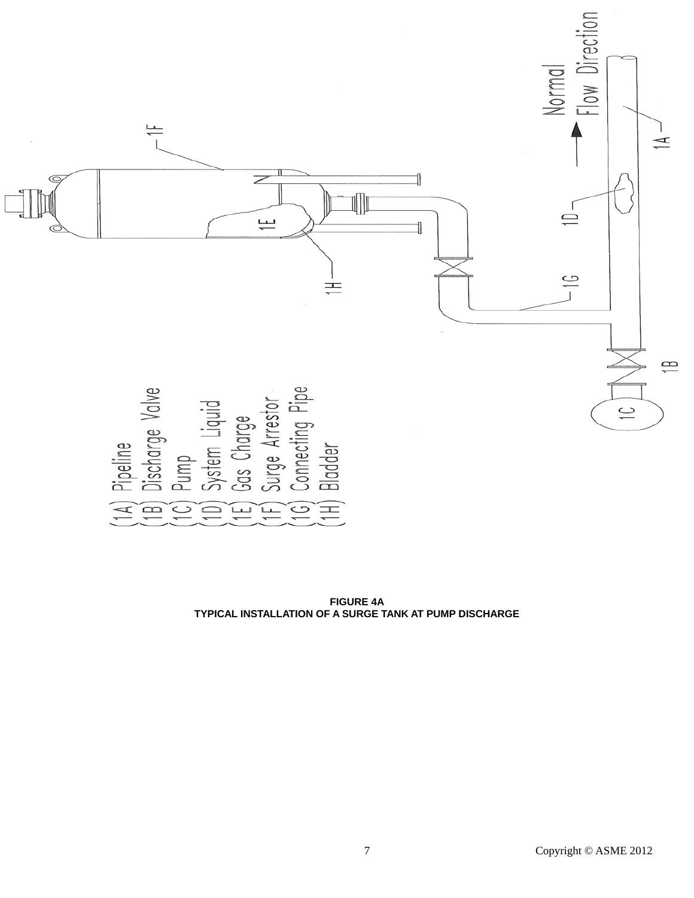

**FIGURE 4A TYPICAL INSTALLATION OF A SURGE TANK AT PUMP DISCHARGE**